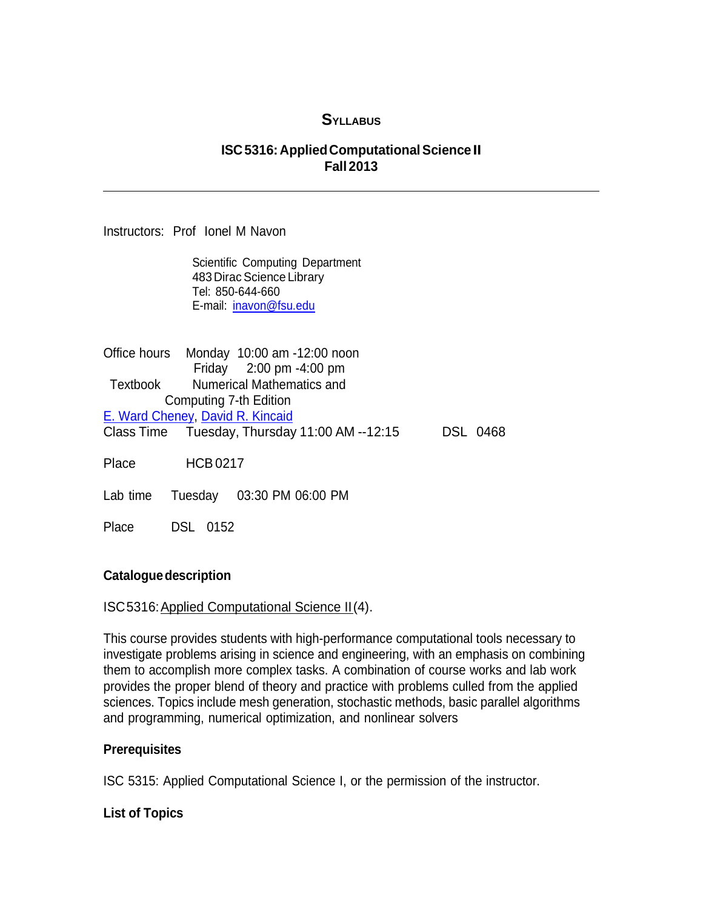# **SYLLABUS**

### **ISC5316:AppliedComputationalScience II Fall 2013**

Instructors: Prof Ionel M Navon

Scientific Computing Department 483 Dirac Science Library Tel: 850-644-660 E-mail: [inavon@fsu.edu](mailto:inavon@fsu.edu)

Office hours Monday 10:00 am -12:00 noon Friday 2:00 pm -4:00 pm Textbook Numerical Mathematics and Computing 7-th Edition [E. Ward Cheney,](http://www.amazon.com/s/ref=ntt_athr_dp_sr_1?_encoding=UTF8&field-author=E.%20Ward%20Cheney&search-alias=books&sort=relevancerank) [David R. Kincaid](http://www.amazon.com/s/ref=ntt_athr_dp_sr_2?_encoding=UTF8&field-author=David%20R.%20Kincaid&search-alias=books&sort=relevancerank) Class Time Tuesday, Thursday 11:00 AM --12:15 DSL 0468 Place HCB0217 Lab time Tuesday 03:30 PM 06:00 PM Place DSL 0152

#### **Cataloguedescription**

#### ISC5316:Applied Computational Science II(4).

This course provides students with high-performance computational tools necessary to investigate problems arising in science and engineering, with an emphasis on combining them to accomplish more complex tasks. A combination of course works and lab work provides the proper blend of theory and practice with problems culled from the applied sciences. Topics include mesh generation, stochastic methods, basic parallel algorithms and programming, numerical optimization, and nonlinear solvers

#### **Prerequisites**

ISC 5315: Applied Computational Science I, or the permission of the instructor.

### **List of Topics**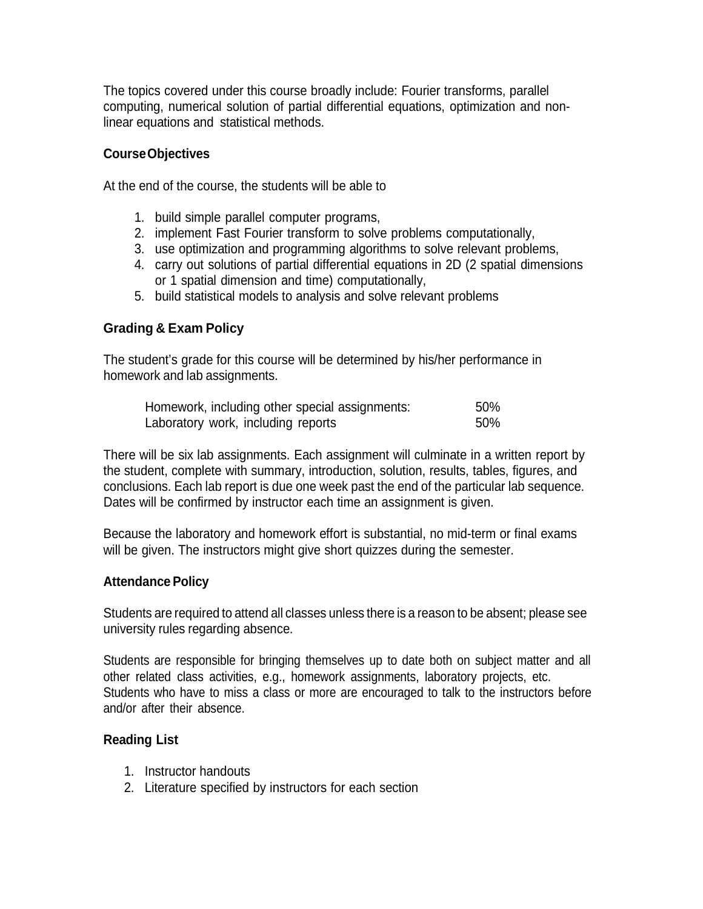The topics covered under this course broadly include: Fourier transforms, parallel computing, numerical solution of partial differential equations, optimization and nonlinear equations and statistical methods.

### **CourseObjectives**

At the end of the course, the students will be able to

- 1. build simple parallel computer programs,
- 2. implement Fast Fourier transform to solve problems computationally,
- 3. use optimization and programming algorithms to solve relevant problems,
- 4. carry out solutions of partial differential equations in 2D (2 spatial dimensions or 1 spatial dimension and time) computationally,
- 5. build statistical models to analysis and solve relevant problems

### **Grading & Exam Policy**

The student's grade for this course will be determined by his/her performance in homework and lab assignments.

| Homework, including other special assignments: | .50% |
|------------------------------------------------|------|
| Laboratory work, including reports             | .50% |

There will be six lab assignments. Each assignment will culminate in a written report by the student, complete with summary, introduction, solution, results, tables, figures, and conclusions. Each lab report is due one week past the end of the particular lab sequence. Dates will be confirmed by instructor each time an assignment is given.

Because the laboratory and homework effort is substantial, no mid-term or final exams will be given. The instructors might give short quizzes during the semester.

#### **Attendance Policy**

Students are required to attend all classes unless there is a reason to be absent; please see university rules regarding absence.

Students are responsible for bringing themselves up to date both on subject matter and all other related class activities, e.g., homework assignments, laboratory projects, etc. Students who have to miss a class or more are encouraged to talk to the instructors before and/or after their absence.

#### **Reading List**

- 1. Instructor handouts
- 2. Literature specified by instructors for each section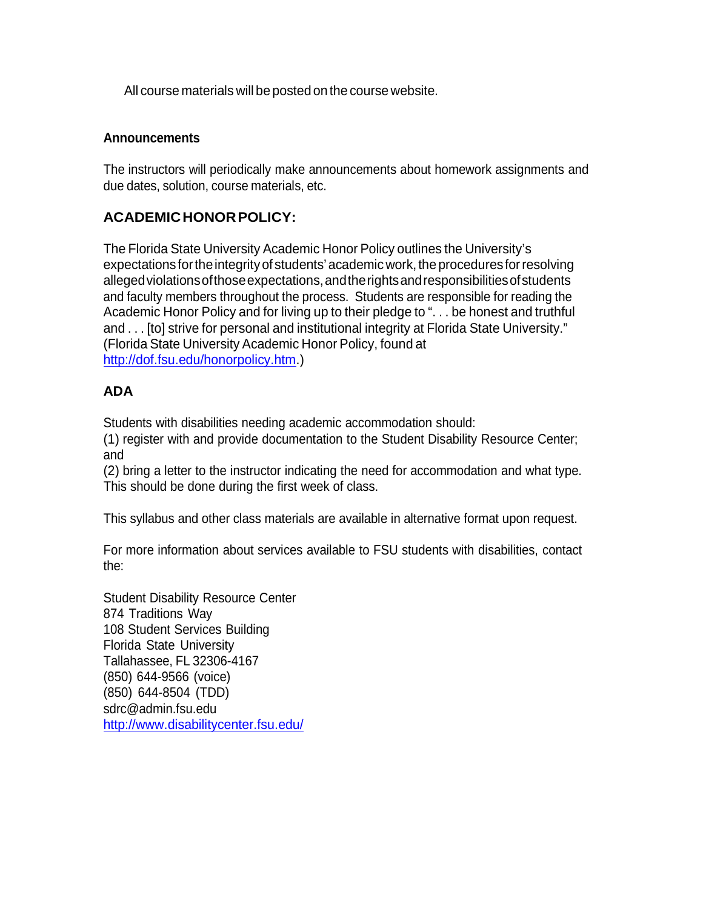All course materials will be posted on the course website.

### **Announcements**

The instructors will periodically make announcements about homework assignments and due dates, solution, course materials, etc.

# **ACADEMICHONORPOLICY:**

The Florida State University Academic Honor Policy outlines the University's expectations for the integrity of students' academic work, the procedures for resolving allegedviolationsofthoseexpectations,andtherightsandresponsibilitiesofstudents and faculty members throughout the process. Students are responsible for reading the Academic Honor Policy and for living up to their pledge to ". . . be honest and truthful and . . . [to] strive for personal and institutional integrity at Florida State University." (Florida State University Academic Honor Policy, found at [http://dof.fsu.edu/honorpolicy.htm.](http://dof.fsu.edu/honorpolicy.htm))

# **ADA**

Students with disabilities needing academic accommodation should:

(1) register with and provide documentation to the Student Disability Resource Center; and

(2) bring a letter to the instructor indicating the need for accommodation and what type. This should be done during the first week of class.

This syllabus and other class materials are available in alternative format upon request.

For more information about services available to FSU students with disabilities, contact the:

Student Disability Resource Center 874 Traditions Way 108 Student Services Building Florida State University Tallahassee, FL 32306-4167 (850) 644-9566 (voice) (850) 644-8504 (TDD) [sdrc@admin.fsu.edu](mailto:sdrc@admin.fsu.edu) <http://www.disabilitycenter.fsu.edu/>